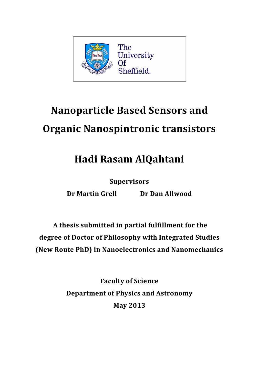

# **Nanoparticle Based Sensors and Organic Nanospintronic transistors**

## **Hadi Rasam AlQahtani**

**Supervisors**

**Dr Martin Grell Dr Dan Allwood**

**A thesis submitted in partial fulfillment for the degree of Doctor of Philosophy with Integrated Studies (New Route PhD) in Nanoelectronics and Nanomechanics**

> **Faculty of Science Department of Physics and Astronomy May 2013**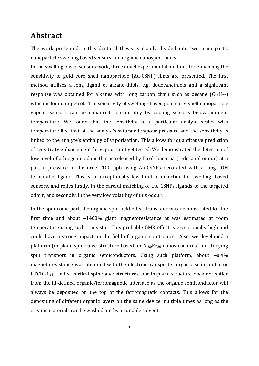#### **Abstract**

The work presented in this doctoral thesis is mainly divided into two main parts: nanoparticle swelling based sensors and organic nanospintronics.

In the swelling based sensors work, three novel experimental methods for enhancing the sensitivity of gold core shell nanoparticle (Au-CSNP) films are presented. The first method utilises a long ligand of alkane-thiols, e.g. dodecanethiols and a significant response was obtained for alkanes with long carbon chain such as decane  $(C_{10}H_{22})$ which is found in petrol. The sensitivity of swelling- based gold core- shell nanoparticle vapour sensors can be enhanced considerably by cooling sensors below ambient temperature. We found that the sensitivity to a particular analyte scales with temperature like that of the analyte's saturated vapour pressure and the sensitivity is linked to the analyte's enthalpy of vaporisation. This allows for quantitative prediction of sensitivity enhancement for vapours not yet tested. We demonstrated the detection of low level of a biogenic odour that is released by E.coli bacteria (1-decanol odour) at a partial pressure in the order 100 ppb using Au-CSNPs decorated with a long –OH terminated ligand. This is an exceptionally low limit of detection for swelling- based sensors, and relies firstly, in the careful matching of the CSNPs ligands to the targeted odour, and secondly, in the very low volatility of this odour.

In the spintronic part, the organic spin field effect transistor was demonstrated for the first time and about  $-1400\%$  giant magnetoresistance at was estimated at room temperature using such transistor. This probable GMR effect is exceptionally high and could have a strong impact on the field of organic spintronics. Also, we developed a platform (in-plane spin valve structure based on  $Ni_{80}Fe_{20}$  nanostructures) for studying spin transport in organic semiconductors. Using such platform, about  $-0.4\%$ magnetoresistance was obtained with the electron transporter organic semiconductor PTCDI-C13. Unlike vertical spin valve structures, our in-plane structure does not suffer from the ill-defined organic/ferromagnetic interface as the organic semiconductor will always be deposited on the top of the ferromagnetic contacts. This allows for the depositing of different organic layers on the same device multiple times as long as the organic materials can be washed out by a suitable solvent.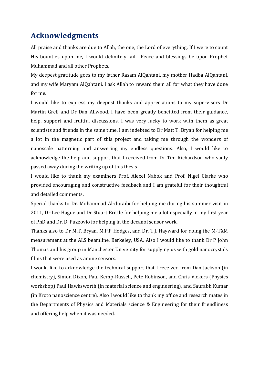#### **Acknowledgments**

All praise and thanks are due to Allah, the one, the Lord of everything. If I were to count His bounties upon me, I would definitely fail. Peace and blessings be upon Prophet Muhammad and all other Prophets.

My deepest gratitude goes to my father Rasam AlQahtani, my mother Hadba AlQahtani, and my wife Maryam AlQahtani. I ask Allah to reward them all for what they have done for me.

I would like to express my deepest thanks and appreciations to my supervisors Dr Martin Grell and Dr Dan Allwood. I have been greatly benefited from their guidance, help, support and fruitful discussions. I was very lucky to work with them as great scientists and friends in the same time. I am indebted to Dr Matt T. Bryan for helping me a lot in the magnetic part of this project and taking me through the wonders of nanoscale patterning and answering my endless questions. Also, I would like to acknowledge the help and support that I received from Dr Tim Richardson who sadly passed away during the writing up of this thesis.

I would like to thank my examiners Prof. Alexei Nabok and Prof. Nigel Clarke who provided encouraging and constructive feedback and I am grateful for their thoughtful and detailed comments.

Special thanks to Dr. Mohammad Al-duraibi for helping me during his summer visit in 2011, Dr Lee Hague and Dr Stuart Brittle for helping me a lot especially in my first year of PhD and Dr. D. Puzzovio for helping in the decanol sensor work.

Thanks also to Dr M.T. Bryan, M.P.P Hodges, and Dr. T.J. Hayward for doing the M-TXM measurement at the ALS beamline, Berkeley, USA. Also I would like to thank Dr P John Thomas and his group in Manchester University for supplying us with gold nanocrystals films that were used as amine sensors.

I would like to acknowledge the technical support that I received from Dan Jackson (in chemistry), Simon Dixon, Paul Kemp-Russell, Pete Robinson, and Chris Vickers (Physics workshop) Paul Hawksworth (in material science and engineering), and Saurabh Kumar (in Kroto nanoscience centre). Also I would like to thank my office and research mates in the Departments of Physics and Materials science & Engineering for their friendliness and offering help when it was needed.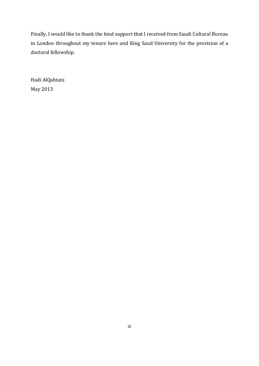Finally, I would like to thank the kind support that I received from Saudi Cultural Bureau in London throughout my tenure here and King Saud University for the provision of a doctoral fellowship.

Hadi AlQahtani May 2013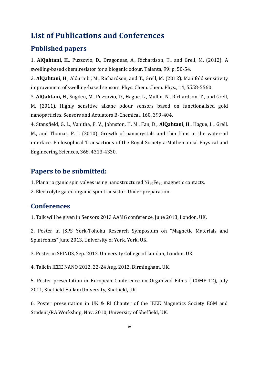#### **List of Publications and Conferences**

#### **Published papers**

1. **AlQahtani, H**., Puzzovio, D., Dragoneas, A., Richardson, T., and Grell, M. (2012). A swelling-based chemiresistor for a biogenic odour. Talanta, 99: p. 50-54.

2. **AlQahtani, H**., Alduraibi, M., Richardson, and T., Grell, M. (2012). Manifold sensitivity improvement of swelling-based sensors. Phys. Chem. Chem. Phys., 14, 5558-5560.

3. **AlQahtani, H**., Sugden, M., Puzzovio, D., Hague, L., Mullin, N., Richardson, T., and Grell, M. (2011). Highly sensitive alkane odour sensors based on functionalised gold nanoparticles. Sensors and Actuators B-Chemical, 160, 399-404.

4. Stansfield, G. L., Vanitha, P. V., Johnston, H. M., Fan, D., **AlQahtani, H**., Hague, L., Grell, M., and Thomas, P. J. (2010). Growth of nanocrystals and thin films at the water-oil interface. Philosophical Transactions of the Royal Society a-Mathematical Physical and Engineering Sciences, 368, 4313-4330.

#### **Papers to be submitted:**

1. Planar organic spin valves using nanostructured Ni80Fe<sup>20</sup> magnetic contacts.

2. Electrolyte gated organic spin transistor. Under preparation.

#### **Conferences**

1. Talk will be given in Sensors 2013 AAMG conference, June 2013, London, UK.

2. Poster in JSPS York-Tohoku Research Symposium on "Magnetic Materials and Spintronics" June 2013, University of York, York, UK.

3. Poster in SPINOS, Sep. 2012, University College of London, London, UK.

4. Talk in IEEE NANO 2012, 22-24 Aug. 2012, Birmingham, UK.

5. Poster presentation in European Conference on Organized Films (ICOMF 12), July 2011, Sheffield Hallam University, Sheffield, UK.

6. Poster presentation in UK & RI Chapter of the IEEE Magnetics Society EGM and Student/RA Workshop, Nov. 2010, University of Sheffield, UK.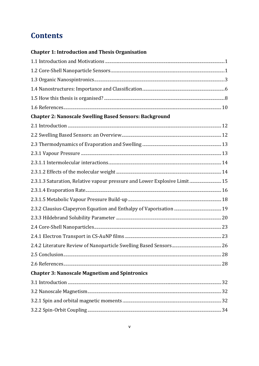## **Contents**

#### **Chapter 1: Introduction and Thesis Organisation**

| <b>Chapter 2: Nanoscale Swelling Based Sensors: Background</b>            |  |
|---------------------------------------------------------------------------|--|
|                                                                           |  |
|                                                                           |  |
|                                                                           |  |
|                                                                           |  |
|                                                                           |  |
|                                                                           |  |
| 2.3.1.3 Saturation, Relative vapour pressure and Lower Explosive Limit 15 |  |
|                                                                           |  |
|                                                                           |  |
|                                                                           |  |
|                                                                           |  |
|                                                                           |  |
|                                                                           |  |
|                                                                           |  |
|                                                                           |  |
|                                                                           |  |
| <b>Chapter 3: Nanoscale Magnetism and Spintronics</b>                     |  |
|                                                                           |  |
|                                                                           |  |
|                                                                           |  |
|                                                                           |  |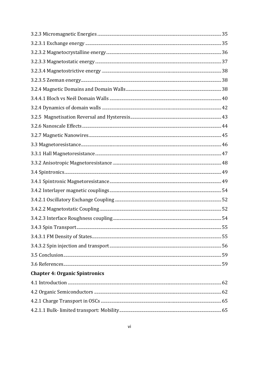| <b>Chapter 4: Organic Spintronics</b> |  |
|---------------------------------------|--|
|                                       |  |
|                                       |  |
|                                       |  |
|                                       |  |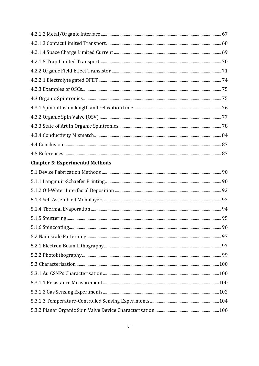| <b>Chapter 5: Experimental Methods</b> |  |
|----------------------------------------|--|
|                                        |  |
|                                        |  |
|                                        |  |
|                                        |  |
|                                        |  |
|                                        |  |
|                                        |  |
|                                        |  |
|                                        |  |
|                                        |  |
|                                        |  |
|                                        |  |
|                                        |  |
|                                        |  |
|                                        |  |
|                                        |  |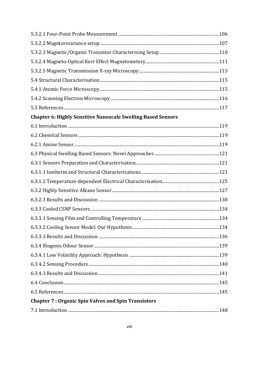| <b>Chapter 6: Highly Sensitive Nanoscale Swelling Based Sensors</b> |  |
|---------------------------------------------------------------------|--|
|                                                                     |  |
|                                                                     |  |
|                                                                     |  |
|                                                                     |  |
|                                                                     |  |
|                                                                     |  |
|                                                                     |  |
|                                                                     |  |
|                                                                     |  |
|                                                                     |  |
|                                                                     |  |
|                                                                     |  |
|                                                                     |  |
|                                                                     |  |
|                                                                     |  |
|                                                                     |  |
|                                                                     |  |
|                                                                     |  |
|                                                                     |  |
| <b>Chapter 7: Organic Spin Valves and Spin Transistors</b>          |  |

|--|--|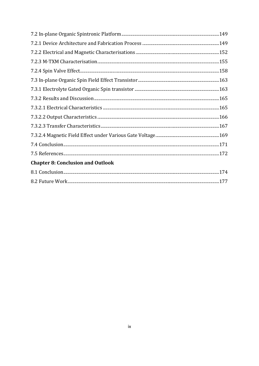| <b>Chapter 8: Conclusion and Outlook</b> |  |
|------------------------------------------|--|
|                                          |  |
|                                          |  |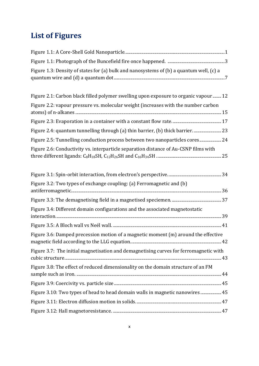## **List of Figures**

| Figure 1.3: Density of states for (a) bulk and nanosystems of (b) a quantum well, (c) a |  |
|-----------------------------------------------------------------------------------------|--|
|                                                                                         |  |

| Figure 2.1: Carbon black filled polymer swelling upon exposure to organic vapour  12 |  |
|--------------------------------------------------------------------------------------|--|
| Figure 2.2: vapour pressure vs. molecular weight (increases with the number carbon   |  |
|                                                                                      |  |
|                                                                                      |  |
| Figure 2.5: Tunnelling conduction process between two nanoparticles cores 24         |  |
| Figure 2.6: Conductivity vs. interparticle separation distance of Au-CSNP films with |  |

| Figure 3.2: Two types of exchange coupling: (a) Ferromagnetic and (b)                 |
|---------------------------------------------------------------------------------------|
|                                                                                       |
| Figure 3.4: Different domain configurations and the associated magnetostatic          |
|                                                                                       |
| Figure 3.6: Damped precession motion of a magnetic moment (m) around the effective    |
| Figure 3.7: The initial magnetisation and demagnetising curves for ferromagnetic with |
| Figure 3.8: The effect of reduced dimensionality on the domain structure of an FM     |
|                                                                                       |
| Figure 3.10: Two types of head to head domain walls in magnetic nanowires  45         |
|                                                                                       |
|                                                                                       |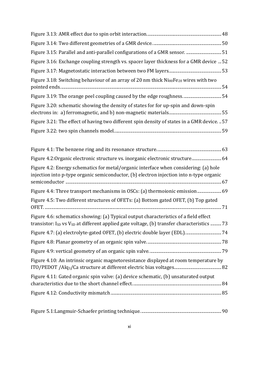| Figure 3.15: Parallel and anti-parallel configurations of a GMR sensor.  51                                                                                                                                |  |
|------------------------------------------------------------------------------------------------------------------------------------------------------------------------------------------------------------|--|
| Figure 3.16: Exchange coupling strength vs. spacer layer thickness for a GMR device  52                                                                                                                    |  |
|                                                                                                                                                                                                            |  |
| Figure 3.18: Switching behaviour of an array of 20 nm thick Ni <sub>80</sub> Fe <sub>20</sub> wires with two                                                                                               |  |
|                                                                                                                                                                                                            |  |
| Figure 3.20: schematic showing the density of states for for up-spin and down-spin                                                                                                                         |  |
| Figure 3.21: The effect of having two different spin density of states in a GMR device.  57                                                                                                                |  |
|                                                                                                                                                                                                            |  |
|                                                                                                                                                                                                            |  |
| Figure 4.2: Organic electronic structure vs. inorganic electronic structure 64                                                                                                                             |  |
| Figure 4.2: Energy schematics for metal/organic interface when considering: (a) hole<br>injection into p-type organic semiconductor, (b) electron injection into n-type organic                            |  |
| Figure 4.4: Three transport mechanisms in OSCs: (a) thermoionic emission 69                                                                                                                                |  |
| Figure 4.5: Two different structures of OFETs: (a) Bottom gated OFET, (b) Top gated                                                                                                                        |  |
| Figure 4.6: schematics showing: (a) Typical output characteristics of a field effect<br>transistor: I <sub>SD</sub> vs V <sub>SD</sub> at different applied gate voltage, (b) transfer characteristics  73 |  |
|                                                                                                                                                                                                            |  |
|                                                                                                                                                                                                            |  |
|                                                                                                                                                                                                            |  |
| Figure 4.10: An intrinsic organic magnetoresistance displayed at room temperature by                                                                                                                       |  |
| Figure 4.11: Gated organic spin valve: (a) device schematic, (b) unsaturated output                                                                                                                        |  |
|                                                                                                                                                                                                            |  |
|                                                                                                                                                                                                            |  |

|--|--|--|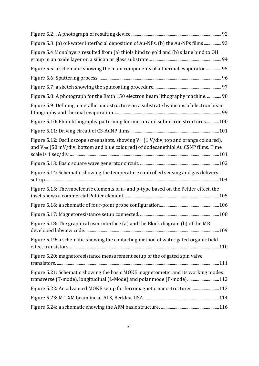| Figure 5.3: (a) oil-water interfacial deposition of Au-NPs. (b) the Au-NPs films 93                                                                                                                   |  |
|-------------------------------------------------------------------------------------------------------------------------------------------------------------------------------------------------------|--|
| Figure 5.4: Monolayers resulted from (a) thiols bind to gold and (b) silane bind to OH                                                                                                                |  |
| Figure 5.5: a schematic showing the main components of a thermal evaporator  95                                                                                                                       |  |
|                                                                                                                                                                                                       |  |
|                                                                                                                                                                                                       |  |
| Figure 5.8: A photograph for the Raith 150 electron beam lithography machine 98                                                                                                                       |  |
| Figure 5.9: Defining a metallic nanostructure on a substrate by means of electron beam                                                                                                                |  |
| Figure 5.10: Photolithography patterning for micron and submicron structures100                                                                                                                       |  |
|                                                                                                                                                                                                       |  |
| Figure 5.12: Oscilloscope screenshots, showing V <sub>in</sub> (1 V/div, top and orange coloured),<br>and V <sub>out</sub> (50 mV/div, bottom and blue coloured) of dodecanethiol Au CSNP films. Time |  |
|                                                                                                                                                                                                       |  |
| Figure 5.14: Schematic showing the temperature controlled sensing and gas delivery                                                                                                                    |  |
| Figure 5.15: Thermoelectric elements of n- and p-type based on the Peltier effect, the                                                                                                                |  |
|                                                                                                                                                                                                       |  |
|                                                                                                                                                                                                       |  |
| Figure 5.18: The graphical user interface (a) and the Block diagram (b) of the MR                                                                                                                     |  |
| Figure 5.19: a schematic showing the contacting method of water gated organic field                                                                                                                   |  |
| Figure 5.20: magnetoresistance measurement setup of the of gated spin valve                                                                                                                           |  |
| Figure 5.21: Schematic showing the basic MOKE magnetometer and its working modes:<br>transverse (T-mode), longitudinal (L-Mode) and polar mode (P-mode)112                                            |  |
| Figure 5.22: An advanced MOKE setup for ferromagnetic nanostructures 113                                                                                                                              |  |
|                                                                                                                                                                                                       |  |
|                                                                                                                                                                                                       |  |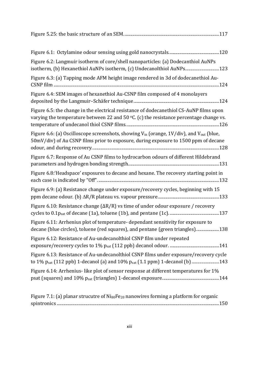| Figure 6.2: Langmuir isotherm of core/shell nanoparticles: (a) Dodecanthiol AuNPs<br>isotherm, (b) Hexanethiol AuNPs isotherm, (c) Undecanolthiol AuNPs123                                             |
|--------------------------------------------------------------------------------------------------------------------------------------------------------------------------------------------------------|
| Figure 6.3: (a) Tapping mode AFM height image rendered in 3d of dodecanethiol Au-                                                                                                                      |
| Figure 6.4: SEM images of hexanethiol Au-CSNP film composed of 4 monolayers                                                                                                                            |
| Figure 6.5: the change in the electrical resistance of dodecanethiol CS-AuNP films upon<br>varying the temperature between 22 and 50 $\degree$ C. (c) the resistance percentage change vs.             |
| Figure 6.6: (a) Oscilloscope screenshots, showing V <sub>in</sub> (orange, 1V/div), and V <sub>out</sub> (blue,<br>50mV/div) of Au CSNP films prior to exposure, during exposure to 1500 ppm of decane |
| Figure 6.7: Response of Au CSNP films to hydrocarbon odours of different Hildebrand                                                                                                                    |
| Figure 6.8: 'Headspace' exposures to decane and hexane. The recovery starting point in                                                                                                                 |
| Figure 6.9: (a) Resistance change under exposure/recovery cycles, beginning with 15                                                                                                                    |
| Figure 6.10: Resistance change ( $\Delta R/R$ ) vs time of under odour exposure / recovery                                                                                                             |
| Figure 6.11: Arrhenius plot of temperature- dependant sensitivity for exposure to<br>decane (blue circles), toluene (red squares), and pentane (green triangles)138                                    |
| Figure 6.12: Resistance of Au-undecanolthiol CSNP film under repeated                                                                                                                                  |
| Figure 6.13: Resistance of Au-undecanolthiol CSNP films under exposure/recovery cycle<br>to 1% psat (112 ppb) 1-decanol (a) and 10% psat (1.1 ppm) 1-decanol (b) 143                                   |
| Figure 6.14: Arrhenius-like plot of sensor response at different temperatures for 1%                                                                                                                   |
|                                                                                                                                                                                                        |

| Figure 7.1: (a) planar strucutre of $Ni_{80}Fe_{20}$ nanowires forming a platform for organic |  |
|-----------------------------------------------------------------------------------------------|--|
|                                                                                               |  |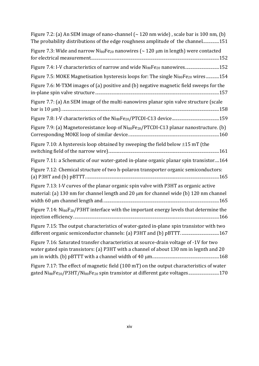| Figure 7.2: (a) An SEM image of nano-channel $\sim$ 120 nm wide), scale bar is 100 nm, (b)<br>The probability distributions of the edge roughness amplitude of the channel151                                              |
|----------------------------------------------------------------------------------------------------------------------------------------------------------------------------------------------------------------------------|
| Figure 7.3: Wide and narrow $Ni_{80}Fe_{20}$ nanowires ( $\sim$ 120 µm in length) were contacted                                                                                                                           |
| Figure 7.4: I-V characteristics of narrow and wide Ni <sub>80</sub> Fe <sub>20</sub> nanowires152                                                                                                                          |
| Figure 7.5: MOKE Magnetisation hysteresis loops for: The single Ni <sub>80</sub> Fe <sub>20</sub> wires154                                                                                                                 |
| Figure 7.6: M-TXM images of (a) positive and (b) negative magnetic field sweeps for the                                                                                                                                    |
| Figure 7.7: (a) An SEM image of the multi-nanowires planar spin valve structure (scale                                                                                                                                     |
|                                                                                                                                                                                                                            |
| Figure 7.9: (a) Magnetoresistance loop of Ni <sub>80</sub> Fe <sub>20</sub> /PTCDI-C13 planar nanostructure. (b)                                                                                                           |
| Figure 7.10: A hysteresis loop obtained by sweeping the field below $\pm 15$ mT (the                                                                                                                                       |
| Figure 7.11: a Schematic of our water-gated in-plane organic planar spin transistor164                                                                                                                                     |
| Figure 7.12: Chemical structure of two h-polaron transporter organic semiconductors:                                                                                                                                       |
| Figure 7.13: I-V curves of the planar organic spin valve with P3HT as organic active<br>material: (a) 130 nm for channel length and 20 μm for channel wide (b) 120 nm channel                                              |
| Figure 7.14: Ni <sub>80</sub> F <sub>20</sub> /P3HT interface with the important energy levels that determine the                                                                                                          |
| Figure 7.15: The output characteristics of water-gated in-plane spin transistor with two                                                                                                                                   |
| Figure 7.16: Saturated transfer characteristics at source-drain voltage of -1V for two<br>water gated spin transistors: (a) P3HT with a channel of about 130 nm in legnth and 20                                           |
| Figure 7.17: The effect of magnetic field (100 mT) on the output characteristics of water<br>gated Ni <sub>80</sub> Fe <sub>20</sub> /P3HT/Ni <sub>80</sub> Fe <sub>20</sub> spin transistor at different gate voltages170 |